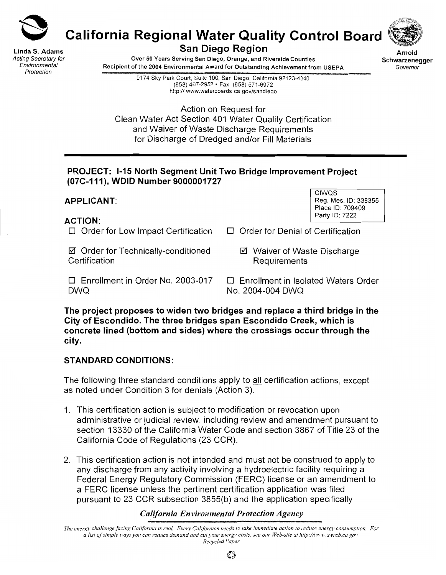

**California Regional Water Quality Control Board**

Linda S. Adams Acting Secretary for Environmental Protection

**San Diego Region**



Over 50 Years Serving San Diego, Orange, and Riverside Counties Recipient of the 2004 Environmental Award for Outstanding Achievement from USEPA

Arnold Schwarzenegger Governor

9174 Sky Park Court, Suite 100, San Diego, California 92123-4340 (858) 467-2952 • Fax (858) 571-6972 http:// www.waterboards.ca.gov/sandiego

Action on Request for Clean Water Act Section 401 Water Quality Certification and Waiver of Waste Discharge Requirements for Discharge of Dredged and/or Fill Materials

### **PROJECT: 1-15 North Segment Unit Two Bridge Improvement Project (07C-111), WDID Number 9000001727**

# **APPLICANT:**

**ACTION:**

 $\Box$  Order for Low Impact Certification

⊠ Order for Technically-conditioned **Certification** 

- CIWQS Reg. Mes. ID: 338355 Place ID: 709409 Party ID: 7222
- $\Box$  Order for Denial of Certification
	- Waiver of Waste Discharge Requirements

 $\Box$  Enrollment in Order No. 2003-017 DWQ

D Enrollment in Isolated Waters Order No. 2004-004 DWQ

**The project proposes to widen two bridges and replace a third bridge in the City of Escondido. The three bridges span Escondido Creek, which is concrete lined (bottom and sides) where the crossings occur through the city.**

## **STANDARD CONDITIONS:**

The following three standard conditions apply to all certification actions, except as noted under Condition 3 for denials (Action 3).

- 1. This certification action is subject to modification or revocation upon administrative or judicial review, including review and amendment pursuant to section 13330 of the California Water Code and section 3867 of Title 23 of the California Code of Regulations (23 CCR).
- 2. This certification action is not intended and must not be construed to apply to any discharge from any activity involving a hydroelectric facility requiring a Federal Energy Regulatory Commission (FERC) license or an amendment to a FERC license unless the pertinent certification application was filed pursuant to 23 CCR subsection 3855(b) and the application specifically

## *California Environmental Protection Agency*

The energy challenge facing California is real. Every Californian needs to take immediate action to reduce energy consumption. For a list of simple ways you can reduce demand and cut your energy costs, see our Web-site at http://www.swrcb.ca.gov. *Recycled Paper*

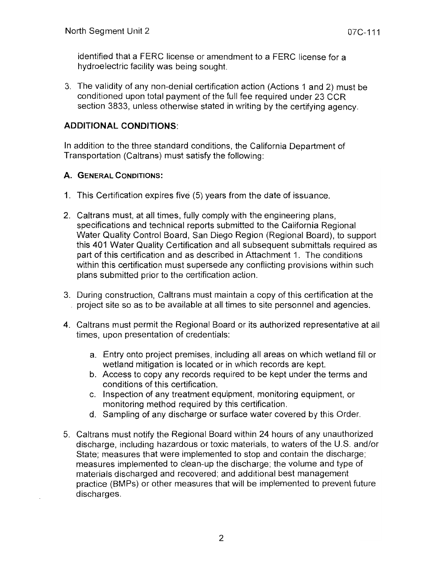identified that a FERC license or amendment to a FERC license for a hydroelectric facility was being sought.

3. The validity of any non-denial certification action (Actions 1 and 2) must be conditioned upon total payment of the full fee required under 23 CCR section 3833, unless otherwise stated in writing by the certifying agency.

# **ADDITIONAL CONDITIONS:**

**In** addition to the three standard conditions, the California Department of Transportation (Caltrans) must satisfy the following:

# **A. GENERAL CONDITIONS:**

- 1. This Certification expires five (5) years from the date of issuance.
- 2. Caltrans must, at all times, fully comply with the engineering plans, specifications and technical reports submitted to the California Regional Water Quality Control Board, San Diego Region (Regional Board), to support this 401 Water Quality Certification and all subsequent submittals required as part of this certification and as described in Attachment 1. The conditions within this certification must supersede any conflicting provisions within such plans submitted prior to the certification action.
- 3. During construction, Caltrans must maintain a copy of this certification at the project site so as to be available at all times to site personnel and agencies.
- 4. Caltrans must permit the Regional Board or its authorized representative at all times, upon presentation of credentials:
	- a. Entry onto project premises, including all areas on which wetland fill or wetland mitigation is located or in which records are kept.
	- b. Access to copy any records required to be kept under the terms and conditions of this certification.
	- c. Inspection of any treatment equipment, monitoring equipment, or monitoring method required by this certification.
	- d. Sampling of any discharge or surface water covered by this Order.
- 5. Caltrans must notify the Regional Board within 24 hours of any unauthorized discharge, including hazardous or toxic materials, to waters of the U.S. and/or State; measures that were implemented to stop and contain the discharge; measures implemented to clean-up the discharge; the volume and type of materials discharged and recovered; and additional best management practice (BMPs) or other measures that will be implemented to prevent future discharges.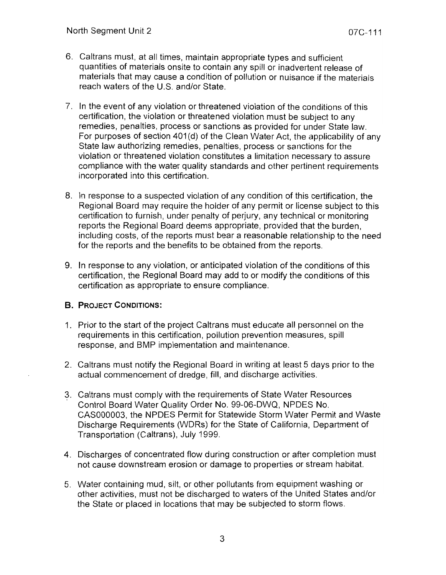- 6. Caltrans must, at all times, maintain appropriate types and sufficient quantities of materials onsite to contain any spill or inadvertent release of materials that may cause a condition of pollution or nuisance if the materials reach waters of the U.S. and/or State.
- 7. In the event of any violation or threatened violation of the conditions of this certification, the violation or threatened violation must be subject to any remedies, penalties, process or sanctions as provided for under State law. For purposes of section 401(d) of the Clean Water Act, the applicability of any State law authorizing remedies, penalties, process or sanctions for the violation or threatened violation constitutes a limitation necessary to assure compliance with the water quality standards and other pertinent requirements incorporated into this certification.
- 8. In response to a suspected violation of any condition of this certification, the Regional Board may require the holder of any permit or license subject to this certification to furnish, under penalty of perjury, any technical or monitoring reports the Regional Board deems appropriate, provided that the burden, including costs, of the reports must bear a reasonable relationship to the need for the reports and the benefits to be obtained from the reports.
- 9. In response to any violation, or anticipated violation of the conditions of this certification, the Regional Board may add to or modify the conditions of this certification as appropriate to ensure compliance.

## B. PROJECT CONDITIONS:

- 1. Prior to the start of the project Caltrans must educate all personnel on the requirements in this certification, pollution prevention measures, spill response, and BMP implementation and maintenance.
- 2. Caltrans must notify the Regional Board in writing at least 5 days prior to the actual commencement of dredge, fill, and discharge activities.
- 3. Caltrans must comply with the requirements of State Water Resources Control Board Water Quality Order No. 99-06-DWQ, NPDES No. CAS000003, the NPDES Permit for Statewide Storm Water Permit and Waste Discharge Requirements (WDRs) for the State of California, Department of Transportation (Caltrans), July 1999.
- 4. Discharges of concentrated flow during construction or after completion must not cause downstream erosion or damage to properties or stream habitat.
- 5. Water containing mud, silt, or other pollutants from equipment washing or other activities, must not be discharged to waters of the United States and/or the State or placed in locations that may be subjected to storm flows.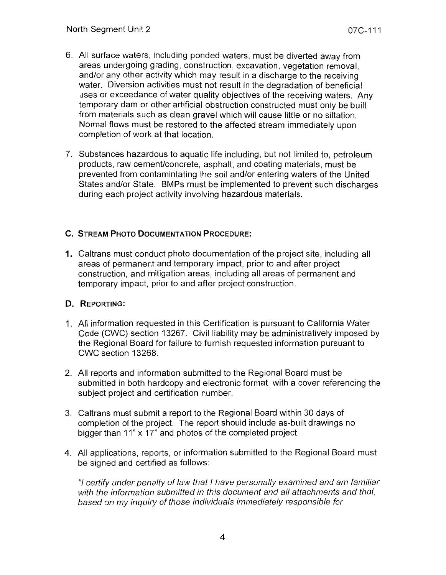- 6. All surface waters, including ponded waters, must be diverted away from areas undergoing grading, construction, excavation, vegetation removal, and/or any other activity which may result in a discharge to the receiving water. Diversion activities must not result in the degradation of beneficial uses or exceedance of water quality objectives of the receiving waters. Any temporary dam or other artificial obstruction constructed must only be built from materials such as clean gravel which will cause little or no siltation. Normal flows must be restored to the affected stream immediately upon completion of work at that location.
- 7. Substances hazardous to aquatic life including, but not limited to, petroleum products, raw cement/concrete, asphalt, and coating materials, must be prevented from contamintating the soil and/or entering waters of the United States and/or State. BMPs must be implemented to prevent such discharges during each project activity involving hazardous materials.

# **C. STREAM PHOTO DOCUMENTATION PROCEDURE:**

**1.** Caltrans must conduct photo documentation of the project site, including all areas of permanent and temporary impact, prior to and after project construction, and mitigation areas, including all areas of permanent and temporary impact, prior to and after project construction.

# **D. REPORTING:**

- 1. All information requested in this Certification is pursuant to California Water Code (CWC) section 13267. Civil liability may be administratively imposed by the Regional Board for failure to furnish requested information pursuant to CWC section 13268.
- 2. All reports and information submitted to the Regional Board must be submitted in both hardcopy and electronic format, with a cover referencing the subject project and certification number.
- 3. Caltrans must submit a report to the Regional Board within 30 days of completion of the project. The report should include as-built drawings no bigger than 11" x 17" and photos of the completed project.
- 4. All applications, reports, or information submitted to the Regional Board must be signed and certified as follows:

"1 certify under penalty of law that I have personally examined and am familiar with the information submitted in this document and all attachments and that, based on my inquiry of those individuals immediately responsible for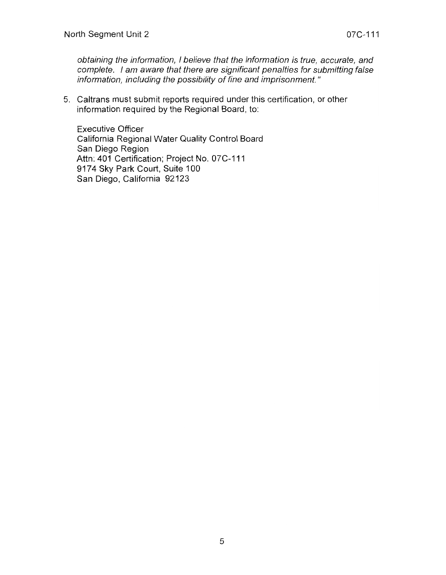obtaining the information, I believe that the information is true, accurate, and complete. I am aware that there are significant penalties for submitting false information, including the possibility of fine and imprisonment. "

5. Caltrans must submit reports required under this certification, or other information required by the Regional Board, to:

Executive Officer California Regional Water Quality Control Board San Diego Region Attn: 401 Certification; Project No. 07C-111 9174 Sky Park Court, Suite 100 San Diego, California 92123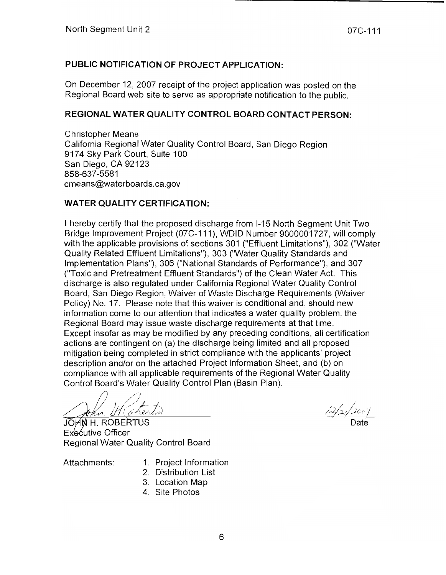# **PUBLIC NOTIFICATION OF PROJECT APPLICATION:**

On December 12, 2007 receipt of the project application was posted on the Regional Board web site to serve as appropriate notification to the public.

# **REGIONAL WATER QUALITY CONTROL BOARD CONTACT PERSON:**

Christopher Means California Regional Water Quality Control Board, San Diego Region 9174 Sky Park Court, Suite 100 San Diego, CA 92123 858-637-5581 cmeans@waterboards.ca.gov

## **WATER QUALITY CERTIFICATION:**

I hereby certify that the proposed discharge from 1-15 North Segment Unit Two Bridge Improvement Project (07C-111), WDID Number 9000001727, will comply with the applicable provisions of sections 301 ("Effluent Limitations"), 302 ("Water Quality Related Effluent Limitations"), 303 ("Water Quality Standards and Implementation Plans"), 306 ("National Standards of Performance"), and 307 ("Toxic and Pretreatment Effluent Standards") of the Clean Water Act. This discharge is also regulated under California Regional Water Quality Control Board, San Diego Region, Waiver of Waste Discharge Requirements (Waiver Policy) No. 17. Please note that this waiver is conditional and, should new information come to our attention that indicates a water quality problem, the Regional Board may issue waste discharge requirements at that time. Except insofar as may be modified by any preceding conditions, all certification actions are contingent on (a) the discharge being limited and all proposed mitigation being completed in strict compliance with the applicants' project description and/or on the attached Project Information Sheet, and (b) on compliance with all applicable requirements of the Regional Water Quality Control Board's Water Quality Control Plan (Basin Plan).

/~) :) . / <sup>J</sup>:/;./ I=~-J,. 'J . /. ",.,/1. *iy* - (/f--' ul/ii/l~

JOHN H. ROBERTUS Executive Officer Regional Water Quality Control Board

- Attachments: 1. Project Information
	- 2. Distribution List
	- 3. Location Map
	- 4. Site Photos

 $\frac{12/2}{\sqrt{200}}$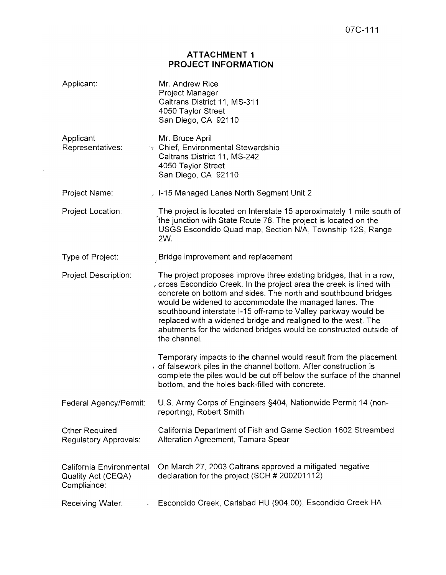### **ATTACHMENT 1 PROJECT INFORMATION**

 $\sim 10^{-10}$ 

| Applicant:                                                    | Mr. Andrew Rice<br>Project Manager<br>Caltrans District 11, MS-311<br>4050 Taylor Street<br>San Diego, CA 92110                                                                                                                                                                                                                                                                                                                                                                                          |
|---------------------------------------------------------------|----------------------------------------------------------------------------------------------------------------------------------------------------------------------------------------------------------------------------------------------------------------------------------------------------------------------------------------------------------------------------------------------------------------------------------------------------------------------------------------------------------|
| Applicant<br>Representatives:                                 | Mr. Bruce April<br>$\sim$ Chief, Environmental Stewardship<br>Caltrans District 11, MS-242<br>4050 Taylor Street<br>San Diego, CA 92110                                                                                                                                                                                                                                                                                                                                                                  |
| Project Name:                                                 | $\geq$ 1-15 Managed Lanes North Segment Unit 2                                                                                                                                                                                                                                                                                                                                                                                                                                                           |
| Project Location:                                             | The project is located on Interstate 15 approximately 1 mile south of<br>the junction with State Route 78. The project is located on the<br>USGS Escondido Quad map, Section N/A, Township 12S, Range<br>2W.                                                                                                                                                                                                                                                                                             |
| Type of Project:                                              | $\mathcal{L}$ Bridge improvement and replacement                                                                                                                                                                                                                                                                                                                                                                                                                                                         |
| <b>Project Description:</b>                                   | The project proposes improve three existing bridges, that in a row,<br>$\epsilon$ cross Escondido Creek. In the project area the creek is lined with<br>concrete on bottom and sides. The north and southbound bridges<br>would be widened to accommodate the managed lanes. The<br>southbound interstate I-15 off-ramp to Valley parkway would be<br>replaced with a widened bridge and realigned to the west. The<br>abutments for the widened bridges would be constructed outside of<br>the channel. |
|                                                               | Temporary impacts to the channel would result from the placement<br>of falsework piles in the channel bottom. After construction is<br>complete the piles would be cut off below the surface of the channel<br>bottom, and the holes back-filled with concrete.                                                                                                                                                                                                                                          |
| Federal Agency/Permit:                                        | U.S. Army Corps of Engineers §404, Nationwide Permit 14 (non-<br>reporting), Robert Smith                                                                                                                                                                                                                                                                                                                                                                                                                |
| <b>Other Required</b><br>Regulatory Approvals:                | California Department of Fish and Game Section 1602 Streambed<br>Alteration Agreement, Tamara Spear                                                                                                                                                                                                                                                                                                                                                                                                      |
| California Environmental<br>Quality Act (CEQA)<br>Compliance: | On March 27, 2003 Caltrans approved a mitigated negative<br>declaration for the project (SCH # 200201112)                                                                                                                                                                                                                                                                                                                                                                                                |
| Receiving Water:                                              | Escondido Creek, Carlsbad HU (904.00), Escondido Creek HA                                                                                                                                                                                                                                                                                                                                                                                                                                                |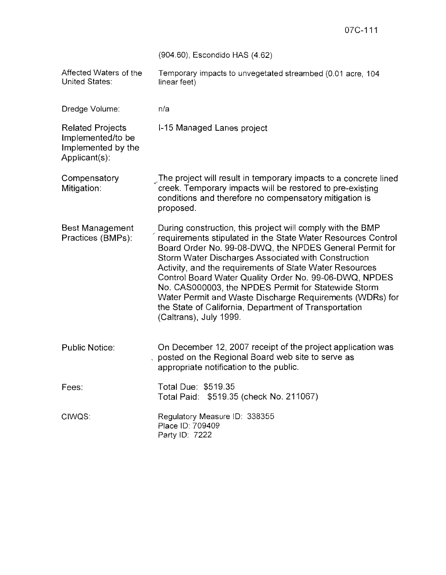|                                                                                     | 07C-111                                                                                                                                                                                                                                                                                                                                                                                                                                                                                                                                                                 |
|-------------------------------------------------------------------------------------|-------------------------------------------------------------------------------------------------------------------------------------------------------------------------------------------------------------------------------------------------------------------------------------------------------------------------------------------------------------------------------------------------------------------------------------------------------------------------------------------------------------------------------------------------------------------------|
|                                                                                     | (904.60), Escondido HAS (4.62)                                                                                                                                                                                                                                                                                                                                                                                                                                                                                                                                          |
| Affected Waters of the<br><b>United States:</b>                                     | Temporary impacts to unvegetated streambed (0.01 acre, 104<br>linear feet)                                                                                                                                                                                                                                                                                                                                                                                                                                                                                              |
| Dredge Volume:                                                                      | n/a                                                                                                                                                                                                                                                                                                                                                                                                                                                                                                                                                                     |
| <b>Related Projects</b><br>Implemented/to be<br>Implemented by the<br>Applicant(s): | I-15 Managed Lanes project                                                                                                                                                                                                                                                                                                                                                                                                                                                                                                                                              |
| Compensatory<br>Mitigation:                                                         | The project will result in temporary impacts to a concrete lined<br>creek. Temporary impacts will be restored to pre-existing<br>conditions and therefore no compensatory mitigation is<br>proposed.                                                                                                                                                                                                                                                                                                                                                                    |
| <b>Best Management</b><br>Practices (BMPs):                                         | During construction, this project will comply with the BMP<br>requirements stipulated in the State Water Resources Control<br>Board Order No. 99-08-DWQ, the NPDES General Permit for<br>Storm Water Discharges Associated with Construction<br>Activity, and the requirements of State Water Resources<br>Control Board Water Quality Order No. 99-06-DWQ, NPDES<br>No. CAS000003, the NPDES Permit for Statewide Storm<br>Water Permit and Waste Discharge Requirements (WDRs) for<br>the State of California, Department of Transportation<br>(Caltrans), July 1999. |
| <b>Public Notice:</b>                                                               | On December 12, 2007 receipt of the project application was<br>posted on the Regional Board web site to serve as<br>appropriate notification to the public.                                                                                                                                                                                                                                                                                                                                                                                                             |
| Fees:                                                                               | Total Due: \$519.35<br>Total Paid: \$519.35 (check No. 211067)                                                                                                                                                                                                                                                                                                                                                                                                                                                                                                          |
| CIWQS:                                                                              | Regulatory Measure ID: 338355<br>Place ID: 709409<br>Party ID: 7222                                                                                                                                                                                                                                                                                                                                                                                                                                                                                                     |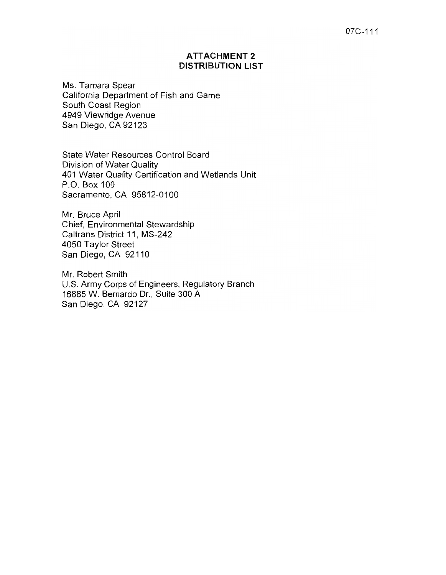#### 07C-111

### **ATTACHMENT 2 DISTRIBUTION LIST**

Ms. Tamara Spear California Department of Fish and Game South Coast Region 4949 Viewridge Avenue San Diego, CA 92123

State Water Resources Control Board Division of Water Quality 401 Water Quality Certification and Wetlands Unit P.O. Box 100 Sacramento, CA 95812-0100

Mr. Bruce April Chief, Environmental Stewardship Caltrans District 11, MS-242 4050 Taylor Street San Diego, CA 92110

Mr. Robert Smith U.S. Army Corps of Engineers, Regulatory Branch 16885 W. Bernardo Dr., Suite 300 A San Diego, CA 92127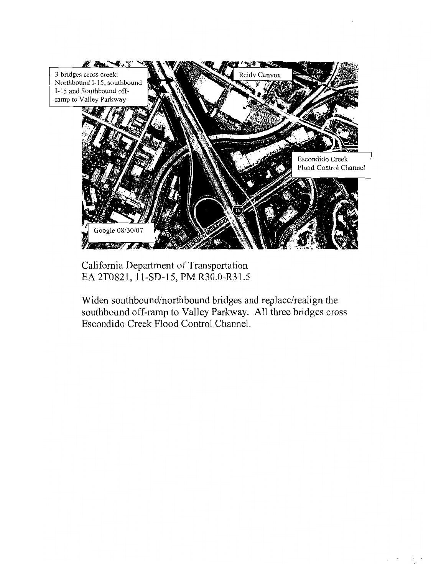

California Department of Transportation EA 2T0821, 1l-SD-15, PM R30.0-R31.5

Widen southbound/northbound bridges and replace/realign the southbound off-ramp to Valley Parkway. All three bridges cross Escondido Creek Flood Control Channel.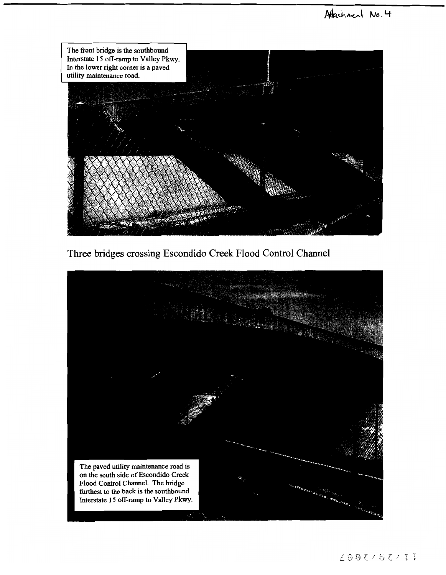

Three bridges crossing Escondido Creek Flood Control Channel